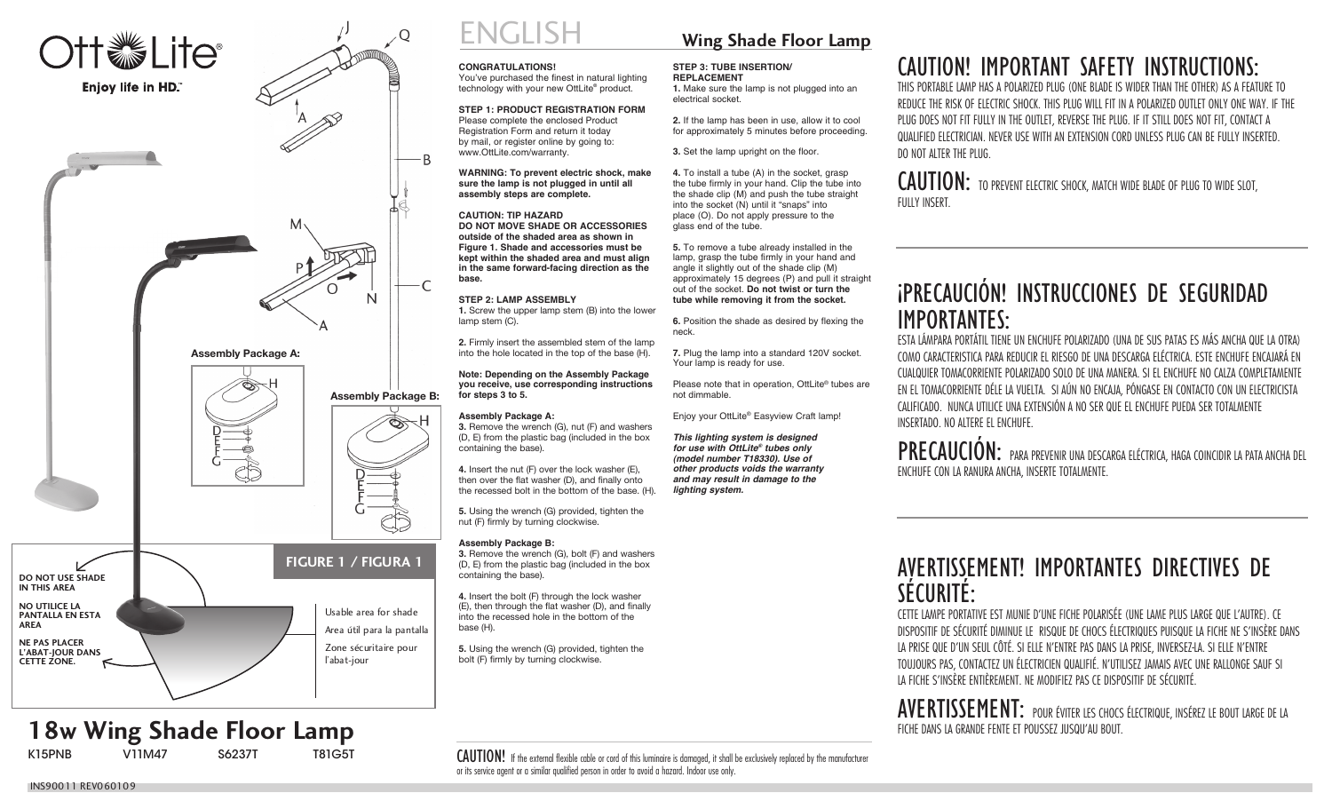

**18w Wing Shade Floor Lamp** 

**V11M47** 

# ENGLISH **CONGRATULATIONS!**

You've purchased the finest in natural lighting technology with your new OttLite® product.

**STEP 1: PRODUCT REGISTRATION FORM** Please complete the enclosed Product Registration Form and return it today by mail, or register online by going to: www.OttLite.com/warranty.

### **WARNING: To prevent electric shock, make sure the lamp is not plugged in until all assembly steps are complete.**

**CAUTION: TIP HAZARD DO NOT MOVE SHADE OR ACCESSORIES outside of the shaded area as shown in Figure 1. Shade and accessories must be kept within the shaded area and must align in the same forward-facing direction as the base.**

### **STEP 2: LAMP ASSEMBLY**

**1.** Screw the upper lamp stem (B) into the lower lamp stem (C).

**2.** Firmly insert the assembled stem of the lamp into the hole located in the top of the base (H).

**Note: Depending on the Assembly Package you receive, use corresponding instructions for steps 3 to 5.**

### **Assembly Package A:**

**3.** Remove the wrench (G), nut (F) and washers (D, E) from the plastic bag (included in the box containing the base).

**4.** Insert the nut (F) over the lock washer (E), then over the flat washer (D), and finally onto the recessed bolt in the bottom of the base.  $(H)$ .

**5.** Using the wrench (G) provided, tighten the nut (F) firmly by turning clockwise.

### **Assembly Package B:**

**3.** Remove the wrench (G), bolt (F) and washers (D, E) from the plastic bag (included in the box containing the base).

**4.** Insert the bolt (F) through the lock washer (E), then through the flat washer (D), and finally into the recessed hole in the bottom of the base (H).

**5.** Using the wrench (G) provided, tighten the bolt (F) firmly by turning clockwise.

## **Wing Shade Floor Lamp**

#### **STEP 3: TUBE INSERTION/ REPLACEMENT**

**1.** Make sure the lamp is not plugged into an electrical socket.

**2.** If the lamp has been in use, allow it to cool for approximately 5 minutes before proceeding.

**3.** Set the lamp upright on the floor.

**4.** To install a tube (A) in the socket, grasp the tube firmly in your hand. Clip the tube into the shade clip (M) and push the tube straight into the socket (N) until it "snaps" into place (O). Do not apply pressure to the glass end of the tube.

**5.** To remove a tube already installed in the lamp, grasp the tube firmly in your hand and angle it slightly out of the shade clip (M) approximately 15 degrees (P) and pull it straight out of the socket. **Do not twist or turn the tube while removing it from the socket.**

**6.** Position the shade as desired by flexing the neck.

**7.** Plug the lamp into a standard 120V socket. Your lamp is ready for use.

Please note that in operation, OttLite® tubes are not dimmable.

Enjoy your OttLite® Easyview Craft lamp!

*This lighting system is designed for use with OttLite® tubes only (model number T18330). Use of other products voids the warranty and may result in damage to the lighting system.*

## CAUTION! IMPORTANT SAFETY INSTRUCTIONS:

THIS PORTABLE LAMP HAS A POLARIZED PLUG (ONE BLADE IS WIDER THAN THE OTHER) AS A FEATURE TO REDUCE THE RISK OF ELECTRIC SHOCK. THIS PLUG WILL FIT IN A POLARIZED OUTLET ONLY ONE WAY. IF THE PLUG DOES NOT FIT FULLY IN THE OUTLET, REVERSE THE PLUG. IF IT STILL DOES NOT FIT, CONTACT A QUALIFIED ELECTRICIAN. NEVER USE WITH AN EXTENSION CORD UNLESS PLUG CAN BE FULLY INSERTED. DO NOT ALTER THE PLUG.

CAUTION: TO PREVENT ELECTRIC SHOCK, MATCH WIDE BLADE OF PLUG TO WIDE SLOT, FULLY INSERT.

## ;<br>∫ PRECAUCIÓN! INSTRUCCIONES DE SEGURIDAD IMPORTANTES:

ESTA LÁMPARA PORTÁTIL TIENE UN ENCHUFE POLARIZADO (UNA DE SUS PATAS ES MÁS ANCHA QUE LA OTRA) COMO CARACTERISTICA PARA REDUCIR EL RIESGO DE UNA DESCARGA ELÉCTRICA. ESTE ENCHUFE ENCAJARÁ EN CUALQUIER TOMACORRIENTE POLARIZADO SOLO DE UNA MANERA. SI EL ENCHUFE NO CALZA COMPLETAMENTE EN EL TOMACORRIENTE DÉLE LA VUELTA. SI AÚN NO ENCAJA, PÓNGASE EN CONTACTO CON UN ELECTRICISTA CALIFICADO. NUNCA UTILICE UNA EXTENSIÓN A NO SER QUE EL ENCHUFE PUEDA SER TOTALMENTE INSERTADO. NO ALTERE EL ENCHUFE.

PRECAUCIÓN: PARA PREVENIR UNA DESCARGA ELÉCTRICA, HAGA COINCIDIR LA PATA ANCHA DEL ENCHUFE CON LA RANURA ANCHA, INSERTE TOTALMENTE.

## AVERTISSEMENT! IMPORTANTES DIRECTIVES DE SÉCURITÉ:

CETTE LAMPE PORTATIVE EST MUNIE D'UNE FICHE POLARISÉE (UNE LAME PLUS LARGE QUE L'AUTRE). CE DISPOSITIF DE SÉCURITÉ DIMINUE LE RISQUE DE CHOCS ÉLECTRIQUES PUISQUE LA FICHE NE S'INSÈRE DANS LA PRISE QUE D'UN SEUL CÔTÉ. SI ELLE N'ENTRE PAS DANS LA PRISE, INVERSEZ-LA. SI ELLE N'ENTRE TOUJOURS PAS, CONTACTEZ UN ÉLECTRICIEN QUALIFIÉ. N'UTILISEZ JAMAIS AVEC UNE RALLONGE SAUF SI LA FICHE S'INSÈRE ENTIÈREMENT. NE MODIFIEZ PAS CE DISPOSITIF DE SÉCURITÉ.

AVERTISSEMENT: POUR ÉVITER LES CHOCS ÉLECTRIQUE, INSÉREZ LE BOUT LARGE DE LA FICHE DANS LA GRANDE FENTE ET POUSSEZ JUSQU'AU BOUT.

CAUTION! If the external flexible cable or cord of this luminaire is damaged, it shall be exclusively replaced by the manufacturer or its service agent or a similar qualified person in order to avoid a hazard. Indoor use only.